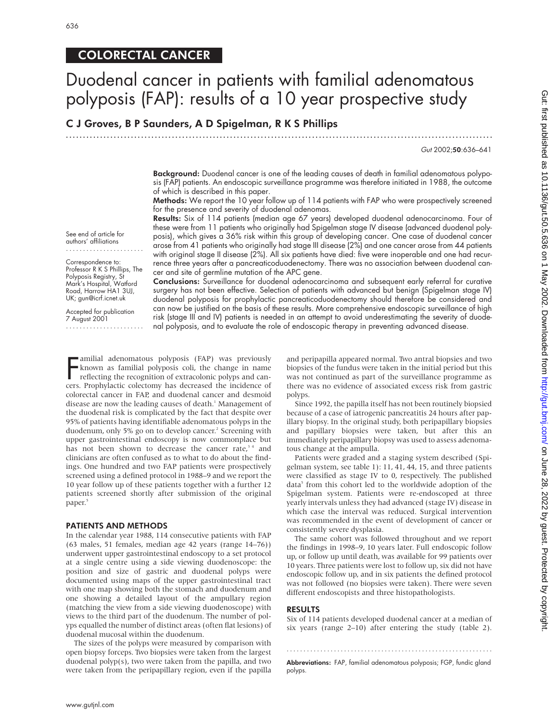### COLORECTAL CANCER

## Duodenal cancer in patients with familial adenomatous polyposis (FAP): results of a 10 year prospective study

C J Groves, B P Saunders, A D Spigelman, R K S Phillips

.............................................................................................................................

Gut 2002;50:636–641

Background: Duodenal cancer is one of the leading causes of death in familial adenomatous polyposis (FAP) patients. An endoscopic surveillance programme was therefore initiated in 1988, the outcome of which is described in this paper.

Methods: We report the 10 year follow up of 114 patients with FAP who were prospectively screened for the presence and severity of duodenal adenomas.

Results: Six of 114 patients (median age 67 years) developed duodenal adenocarcinoma. Four of these were from 11 patients who originally had Spigelman stage IV disease (advanced duodenal polyposis), which gives a 36% risk within this group of developing cancer. One case of duodenal cancer arose from 41 patients who originally had stage III disease (2%) and one cancer arose from 44 patients with original stage II disease (2%). All six patients have died: five were inoperable and one had recurrence three years after a pancreaticoduodenectomy. There was no association between duodenal cancer and site of germline mutation of the APC gene.

See end of article for authors' affiliations .......................

Correspondence to: Professor R K S Phillips, The Polyposis Registry, St Mark's Hospital, Watford Road, Harrow HA1 3UJ, UK; gun@icrf.icnet.uk

Accepted for publication 7 August 2001 .......................

Conclusions: Surveillance for duodenal adenocarcinoma and subsequent early referral for curative surgery has not been effective. Selection of patients with advanced but benign (Spigelman stage IV) duodenal polyposis for prophylactic pancreaticoduodenectomy should therefore be considered and can now be justified on the basis of these results. More comprehensive endoscopic surveillance of high risk (stage III and IV) patients is needed in an attempt to avoid underestimating the severity of duodenal polyposis, and to evaluate the role of endoscopic therapy in preventing advanced disease.

**EXECUTE AMILY AND FORMATION AREA** in adenomatous polyposis (FAP) was previously known as familial polyposis coli, the change in name reflecting the recognition of extracolonic polyps and can-<br>regress Prophylactic colectom known as familial polyposis coli, the change in name reflecting the recognition of extracolonic polyps and cancers. Prophylactic colectomy has decreased the incidence of colorectal cancer in FAP, and duodenal cancer and desmoid disease are now the leading causes of death.<sup>1</sup> Management of the duodenal risk is complicated by the fact that despite over 95% of patients having identifiable adenomatous polyps in the duodenum, only 5% go on to develop cancer.<sup>2</sup> Screening with upper gastrointestinal endoscopy is now commonplace but has not been shown to decrease the cancer rate,<sup>34</sup> and clinicians are often confused as to what to do about the findings. One hundred and two FAP patients were prospectively screened using a defined protocol in 1988–9 and we report the 10 year follow up of these patients together with a further 12 patients screened shortly after submission of the original paper.<sup>5</sup>

#### PATIENTS AND METHODS

In the calendar year 1988, 114 consecutive patients with FAP (63 males, 51 females, median age 42 years (range 14–76)) underwent upper gastrointestinal endoscopy to a set protocol at a single centre using a side viewing duodenoscope: the position and size of gastric and duodenal polyps were documented using maps of the upper gastrointestinal tract with one map showing both the stomach and duodenum and one showing a detailed layout of the ampullary region (matching the view from a side viewing duodenoscope) with views to the third part of the duodenum. The number of polyps equalled the number of distinct areas (often flat lesions) of duodenal mucosal within the duodenum.

The sizes of the polyps were measured by comparison with open biopsy forceps. Two biopsies were taken from the largest duodenal polyp(s), two were taken from the papilla, and two were taken from the peripapillary region, even if the papilla

and peripapilla appeared normal. Two antral biopsies and two biopsies of the fundus were taken in the initial period but this was not continued as part of the surveillance programme as there was no evidence of associated excess risk from gastric polyps.

Since 1992, the papilla itself has not been routinely biopsied because of a case of iatrogenic pancreatitis 24 hours after papillary biopsy. In the original study, both peripapillary biopsies and papillary biopsies were taken, but after this an immediately peripapillary biopsy was used to assess adenomatous change at the ampulla.

Patients were graded and a staging system described (Spigelman system, see table 1): 11, 41, 44, 15, and three patients were classified as stage IV to 0, respectively. The published data<sup>5</sup> from this cohort led to the worldwide adoption of the Spigelman system. Patients were re-endoscoped at three yearly intervals unless they had advanced (stage IV) disease in which case the interval was reduced. Surgical intervention was recommended in the event of development of cancer or consistently severe dysplasia.

The same cohort was followed throughout and we report the findings in 1998–9, 10 years later. Full endoscopic follow up, or follow up until death, was available for 99 patients over 10 years. Three patients were lost to follow up, six did not have endoscopic follow up, and in six patients the defined protocol was not followed (no biopsies were taken). There were seven different endoscopists and three histopathologists.

#### RESULTS

Six of 114 patients developed duodenal cancer at a median of six years (range 2–10) after entering the study (table 2).

Abbreviations: FAP, familial adenomatous polyposis; FGP, fundic gland polyps.

.............................................................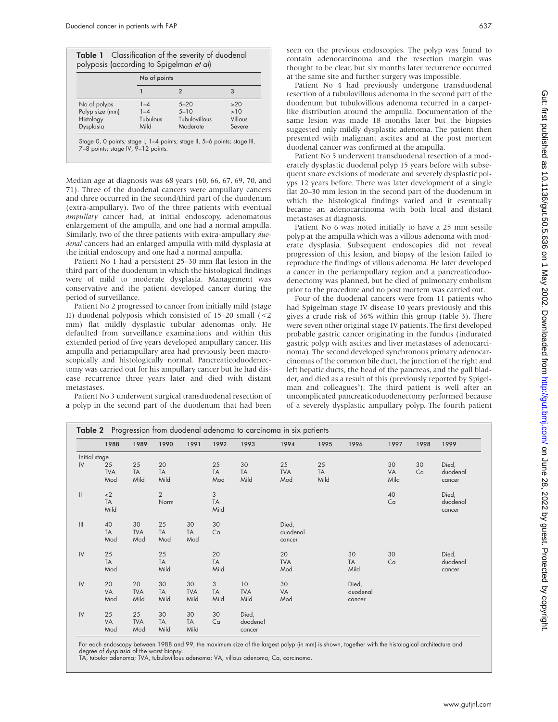|                 |          | No of points  |         |  |  |  |
|-----------------|----------|---------------|---------|--|--|--|
|                 |          | 2             | 3       |  |  |  |
| No of polyps    | $1 - 4$  | $5 - 20$      | >20     |  |  |  |
| Polyp size (mm) | $1 - 4$  | $5 - 10$      | >10     |  |  |  |
| Histology       | Tubulous | Tubulovillous | Villous |  |  |  |
| Dysplasia       | Mild     | Moderate      | Severe  |  |  |  |

7–8 points; stage IV, 9–12 points.

Median age at diagnosis was 68 years (60, 66, 67, 69, 70, and 71). Three of the duodenal cancers were ampullary cancers and three occurred in the second/third part of the duodenum (extra-ampullary). Two of the three patients with eventual *ampullary* cancer had, at initial endoscopy, adenomatous enlargement of the ampulla, and one had a normal ampulla. Similarly, two of the three patients with extra-ampullary *duodenal* cancers had an enlarged ampulla with mild dysplasia at the initial endoscopy and one had a normal ampulla.

Patient No 1 had a persistent 25–30 mm flat lesion in the third part of the duodenum in which the histological findings were of mild to moderate dysplasia. Management was conservative and the patient developed cancer during the period of surveillance.

Patient No 2 progressed to cancer from initially mild (stage II) duodenal polyposis which consisted of 15–20 small (<2 mm) flat mildly dysplastic tubular adenomas only. He defaulted from surveillance examinations and within this extended period of five years developed ampullary cancer. His ampulla and periampullary area had previously been macroscopically and histologically normal. Pancreaticoduodenectomy was carried out for his ampullary cancer but he had disease recurrence three years later and died with distant metastases.

Patient No 3 underwent surgical transduodenal resection of a polyp in the second part of the duodenum that had been

Patient No 4 had previously undergone transduodenal resection of a tubulovillous adenoma in the second part of the duodenum but tubulovillous adenoma recurred in a carpetlike distribution around the ampulla. Documentation of the same lesion was made 18 months later but the biopsies suggested only mildly dysplastic adenoma. The patient then presented with malignant ascites and at the post mortem duodenal cancer was confirmed at the ampulla.

Patient No 5 underwent transduodenal resection of a moderately dysplastic duodenal polyp 15 years before with subsequent snare excisions of moderate and severely dysplastic polyps 12 years before. There was later development of a single flat 20–30 mm lesion in the second part of the duodenum in which the histological findings varied and it eventually became an adenocarcinoma with both local and distant metastases at diagnosis.

Patient No 6 was noted initially to have a 25 mm sessile polyp at the ampulla which was a villous adenoma with moderate dysplasia. Subsequent endoscopies did not reveal progression of this lesion, and biopsy of the lesion failed to reproduce the findings of villous adenoma. He later developed a cancer in the periampullary region and a pancreaticoduodenectomy was planned, but he died of pulmonary embolism prior to the procedure and no post mortem was carried out.

Four of the duodenal cancers were from 11 patients who had Spigelman stage IV disease 10 years previously and this gives a crude risk of 36% within this group (table 3). There were seven other original stage IV patients. The first developed probable gastric cancer originating in the fundus (indurated gastric polyp with ascites and liver metastases of adenocarcinoma). The second developed synchronous primary adenocarcinomas of the common bile duct, the junction of the right and left hepatic ducts, the head of the pancreas, and the gall bladder, and died as a result of this (previously reported by Spigelman and colleagues<sup>6</sup>). The third patient is well after an uncomplicated pancreaticoduodenectomy performed because of a severely dysplastic ampullary polyp. The fourth patient

|                            | 1988              | 1989              | 1990              | 1991       | 1992             | 1993              | 1994              | 1995              | 1996      | 1997       | 1998 | 1999               |
|----------------------------|-------------------|-------------------|-------------------|------------|------------------|-------------------|-------------------|-------------------|-----------|------------|------|--------------------|
| Initial stage              |                   |                   |                   |            |                  |                   |                   |                   |           |            |      |                    |
| $\mathsf{IV}\xspace$       | 25                | 25                | 20                |            | 25               | 30                | 25                | 25                |           | 30         | 30   | Died,              |
|                            | <b>TVA</b><br>Mod | <b>TA</b><br>Mild | <b>TA</b><br>Mild |            | <b>TA</b><br>Mod | <b>TA</b><br>Mild | <b>TVA</b><br>Mod | <b>TA</b><br>Mild |           | VA<br>Mild | Ca   | duodenal<br>cancer |
|                            |                   |                   |                   |            |                  |                   |                   |                   |           |            |      |                    |
| $\ensuremath{\mathsf{II}}$ | $<$ 2             |                   | $\overline{2}$    |            | 3                |                   |                   |                   |           | 40         |      | Died,              |
|                            | <b>TA</b>         |                   | Norm              |            | <b>TA</b>        |                   |                   |                   |           | Ca         |      | duodenal           |
|                            | Mild              |                   |                   |            | Mild             |                   |                   |                   |           |            |      | cancer             |
| $\mathop{  }\nolimits$     | 40                | 30                | 25                | 30         | 30               |                   | Died,             |                   |           |            |      |                    |
|                            | <b>TA</b>         | <b>TVA</b>        | <b>TA</b>         | <b>TA</b>  | Ca               |                   | duodenal          |                   |           |            |      |                    |
|                            | Mod               | Mod               | Mod               | Mod        |                  |                   | cancer            |                   |           |            |      |                    |
| $\mathsf{IV}$              | 25                |                   | 25                |            | 20               |                   | 20                |                   | 30        | 30         |      | Died,              |
|                            | <b>TA</b>         |                   | <b>TA</b>         |            | <b>TA</b>        |                   | <b>TVA</b>        |                   | <b>TA</b> | Ca         |      | duodenal           |
|                            | Mod               |                   | Mild              |            | Mild             |                   | Mod               |                   | Mild      |            |      | cancer             |
| ${\sf IV}$                 | 20                | 20                | 30                | 30         | 3                | 10                | 30                |                   | Died,     |            |      |                    |
|                            | VA                | <b>TVA</b>        | <b>TA</b>         | <b>TVA</b> | <b>TA</b>        | <b>TVA</b>        | VA                |                   | duodenal  |            |      |                    |
|                            | Mod               | Mild              | Mild              | Mild       | Mild             | Mild              | Mod               |                   | cancer    |            |      |                    |
| $\mathsf{IV}$              | 25                | 25                | 30                | 30         | 30               | Died,             |                   |                   |           |            |      |                    |
|                            | VA                | <b>TVA</b>        | <b>TA</b>         | <b>TA</b>  | Ca               | duodenal          |                   |                   |           |            |      |                    |
|                            | Mod               | Mod               | Mild              | Mild       |                  | cancer            |                   |                   |           |            |      |                    |

For each endoscopy between 1988 and 99, the maximum size of the largest polyp (in mm) is shown, together with the histological architecture and degree of dysplasia of the worst biopsy.

TA, tubular adenoma; TVA, tubulovillous adenoma; VA, villous adenoma; Ca, carcinoma.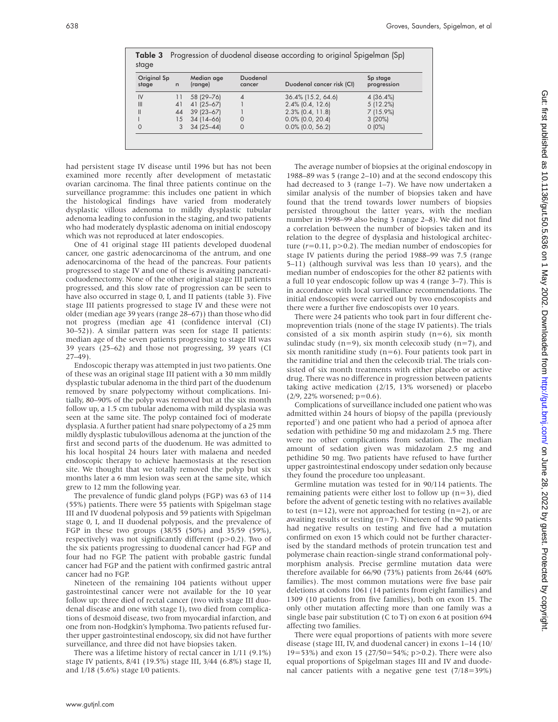| Original Sp<br>stage | n  | Median age<br>(range) | Duodenal<br>cancer | Duodenal cancer risk (CI) | Sp stage<br>progression |
|----------------------|----|-----------------------|--------------------|---------------------------|-------------------------|
| IV                   | 11 | 58 (29-76)            | 4                  | 36.4% (15.2, 64.6)        | 4(36.4%)                |
| III                  | 41 | 41 (25 - 67)          |                    | $2.4\%$ (0.4, 12.6)       | 5(12.2%)                |
|                      | 44 | $39(23-67)$           |                    | $2.3\%$ (0.4, 11.8)       | $7(15.9\%)$             |
|                      | 15 | $34(14-66)$           | $\Omega$           | $0.0\%$ (0.0, 20.4)       | 3(20%)                  |
| 0                    |    | $34(25 - 44)$         | 0                  | $0.0\%$ (0.0, 56.2)       | $0(0\%)$                |

Table 3 Progression of duodenal disease according to original Spigelman (Sp)

had persistent stage IV disease until 1996 but has not been examined more recently after development of metastatic ovarian carcinoma. The final three patients continue on the surveillance programme: this includes one patient in which the histological findings have varied from moderately dysplastic villous adenoma to mildly dysplastic tubular adenoma leading to confusion in the staging, and two patients who had moderately dysplastic adenoma on initial endoscopy which was not reproduced at later endoscopies.

One of 41 original stage III patients developed duodenal cancer, one gastric adenocarcinoma of the antrum, and one adenocarcinoma of the head of the pancreas. Four patients progressed to stage IV and one of these is awaiting pancreaticoduodenectomy. None of the other original stage III patients progressed, and this slow rate of progression can be seen to have also occurred in stage 0, I, and II patients (table 3). Five stage III patients progressed to stage IV and these were not older (median age 39 years (range 28–67)) than those who did not progress (median age 41 (confidence interval (CI) 30–52)). A similar pattern was seen for stage II patients: median age of the seven patients progressing to stage III was 39 years (25–62) and those not progressing, 39 years (CI  $27-49$ ).

Endoscopic therapy was attempted in just two patients. One of these was an original stage III patient with a 30 mm mildly dysplastic tubular adenoma in the third part of the duodenum removed by snare polypectomy without complications. Initially, 80–90% of the polyp was removed but at the six month follow up, a 1.5 cm tubular adenoma with mild dysplasia was seen at the same site. The polyp contained foci of moderate dysplasia. A further patient had snare polypectomy of a 25 mm mildly dysplastic tubulovillous adenoma at the junction of the first and second parts of the duodenum. He was admitted to his local hospital 24 hours later with malaena and needed endoscopic therapy to achieve haemostasis at the resection site. We thought that we totally removed the polyp but six months later a 6 mm lesion was seen at the same site, which grew to 12 mm the following year.

The prevalence of fundic gland polyps (FGP) was 63 of 114 (55%) patients. There were 55 patients with Spigelman stage III and IV duodenal polyposis and 59 patients with Spigelman stage 0, I, and II duodenal polyposis, and the prevalence of FGP in these two groups (38/55 (50%) and 35/59 (59%), respectively) was not significantly different (p>0.2). Two of the six patients progressing to duodenal cancer had FGP and four had no FGP. The patient with probable gastric fundal cancer had FGP and the patient with confirmed gastric antral cancer had no FGP.

Nineteen of the remaining 104 patients without upper gastrointestinal cancer were not available for the 10 year follow up: three died of rectal cancer (two with stage III duodenal disease and one with stage I), two died from complications of desmoid disease, two from myocardial infarction, and one from non-Hodgkin's lymphoma. Two patients refused further upper gastrointestinal endoscopy, six did not have further surveillance, and three did not have biopsies taken.

There was a lifetime history of rectal cancer in 1/11 (9.1%) stage IV patients, 8/41 (19.5%) stage III, 3/44 (6.8%) stage II, and 1/18 (5.6%) stage I/0 patients.

The average number of biopsies at the original endoscopy in 1988–89 was 5 (range 2–10) and at the second endoscopy this had decreased to 3 (range 1–7). We have now undertaken a similar analysis of the number of biopsies taken and have found that the trend towards lower numbers of biopsies persisted throughout the latter years, with the median number in 1998–99 also being 3 (range 2–8). We did not find a correlation between the number of biopsies taken and its relation to the degree of dysplasia and histological architecture (*r*=0.11, p>0.2). The median number of endoscopies for stage IV patients during the period 1988–99 was 7.5 (range 5–11) (although survival was less than 10 years), and the median number of endoscopies for the other 82 patients with a full 10 year endoscopic follow up was 4 (range 3–7). This is in accordance with local surveillance recommendations. The initial endoscopies were carried out by two endoscopists and there were a further five endoscopists over 10 years.

There were 24 patients who took part in four different chemoprevention trials (none of the stage IV patients). The trials consisted of a six month aspirin study  $(n=6)$ , six month sulindac study  $(n=9)$ , six month celecoxib study  $(n=7)$ , and six month ranitidine study  $(n=6)$ . Four patients took part in the ranitidine trial and then the celecoxib trial. The trials consisted of six month treatments with either placebo or active drug. There was no difference in progression between patients taking active medication (2/15, 13% worsened) or placebo (2/9, 22% worsened; p=0.6).

Complications of surveillance included one patient who was admitted within 24 hours of biopsy of the papilla (previously reported<sup>7</sup>) and one patient who had a period of apnoea after sedation with pethidine 50 mg and midazolam 2.5 mg. There were no other complications from sedation. The median amount of sedation given was midazolam 2.5 mg and pethidine 50 mg. Two patients have refused to have further upper gastrointestinal endoscopy under sedation only because they found the procedure too unpleasant.

Germline mutation was tested for in 90/114 patients. The remaining patients were either lost to follow up (n=3), died before the advent of genetic testing with no relatives available to test ( $n=12$ ), were not approached for testing ( $n=2$ ), or are awaiting results or testing  $(n=7)$ . Nineteen of the 90 patients had negative results on testing and five had a mutation confirmed on exon 15 which could not be further characterised by the standard methods of protein truncation test and polymerase chain reaction-single strand conformational polymorphism analysis. Precise germline mutation data were therefore available for 66/90 (73%) patients from 26/44 (60% families). The most common mutations were five base pair deletions at codons 1061 (14 patients from eight families) and 1309 (10 patients from five families), both on exon 15. The only other mutation affecting more than one family was a single base pair substitution (C to T) on exon 6 at position 694 affecting two families.

There were equal proportions of patients with more severe disease (stage III, IV, and duodenal cancer) in exons 1–14 (10/ 19=53%) and exon 15 (27/50=54%; p>0.2). There were also equal proportions of Spigelman stages III and IV and duodenal cancer patients with a negative gene test (7/18=39%)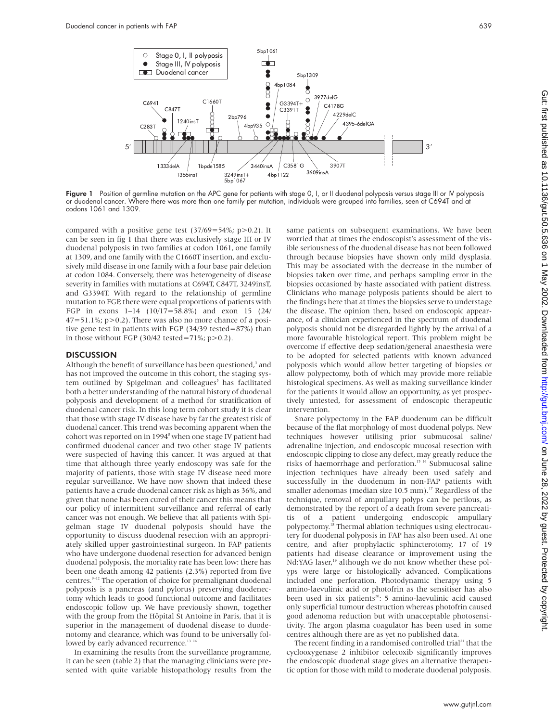

Figure 1 Position of germline mutation on the APC gene for patients with stage 0, I, or II duodenal polyposis versus stage III or IV polyposis or duodenal cancer. Where there was more than one family per mutation, individuals were grouped into families, seen at C694T and at codons 1061 and 1309.

compared with a positive gene test  $(37/69=54\%; p>0.2)$ . It can be seen in fig 1 that there was exclusively stage III or IV duodenal polyposis in two families at codon 1061, one family at 1309, and one family with the C1660T insertion, and exclusively mild disease in one family with a four base pair deletion at codon 1084. Conversely, there was heterogeneity of disease severity in families with mutations at C694T, C847T, 3249insT, and G3394T. With regard to the relationship of germline mutation to FGP, there were equal proportions of patients with FGP in exons 1–14 (10/17=58.8%) and exon 15 (24/  $47=51.1\%$ ; p $>0.2$ ). There was also no more chance of a positive gene test in patients with FGP (34/39 tested=87%) than in those without FGP (30/42 tested=71%;  $p > 0.2$ ).

#### **DISCUSSION**

Although the benefit of surveillance has been questioned,<sup>3</sup> and has not improved the outcome in this cohort, the staging system outlined by Spigelman and colleagues<sup>5</sup> has facilitated both a better understanding of the natural history of duodenal polyposis and development of a method for stratification of duodenal cancer risk. In this long term cohort study it is clear that those with stage IV disease have by far the greatest risk of duodenal cancer. This trend was becoming apparent when the cohort was reported on in 1994<sup>8</sup> when one stage IV patient had confirmed duodenal cancer and two other stage IV patients were suspected of having this cancer. It was argued at that time that although three yearly endoscopy was safe for the majority of patients, those with stage IV disease need more regular surveillance. We have now shown that indeed these patients have a crude duodenal cancer risk as high as 36%, and given that none has been cured of their cancer this means that our policy of intermittent surveillance and referral of early cancer was not enough. We believe that all patients with Spigelman stage IV duodenal polyposis should have the opportunity to discuss duodenal resection with an appropriately skilled upper gastrointestinal surgeon. In FAP patients who have undergone duodenal resection for advanced benign duodenal polyposis, the mortality rate has been low: there has been one death among 42 patients (2.3%) reported from five centres.9–12 The operation of choice for premalignant duodenal polyposis is a pancreas (and pylorus) preserving duodenectomy which leads to good functional outcome and facilitates endoscopic follow up. We have previously shown, together with the group from the Hôpital St Antoine in Paris, that it is superior in the management of duodenal disease to duodenotomy and clearance, which was found to be universally followed by early advanced recurrence.<sup>13 14</sup>

In examining the results from the surveillance programme, it can be seen (table 2) that the managing clinicians were presented with quite variable histopathology results from the same patients on subsequent examinations. We have been worried that at times the endoscopist's assessment of the visible seriousness of the duodenal disease has not been followed through because biopsies have shown only mild dysplasia. This may be associated with the decrease in the number of biopsies taken over time, and perhaps sampling error in the biopsies occasioned by haste associated with patient distress. Clinicians who manage polyposis patients should be alert to the findings here that at times the biopsies serve to understage the disease. The opinion then, based on endoscopic appearance, of a clinician experienced in the spectrum of duodenal polyposis should not be disregarded lightly by the arrival of a more favourable histological report. This problem might be overcome if effective deep sedation/general anaesthesia were to be adopted for selected patients with known advanced polyposis which would allow better targeting of biopsies or allow polypectomy, both of which may provide more reliable histological specimens. As well as making surveillance kinder for the patients it would allow an opportunity, as yet prospectively untested, for assessment of endoscopic therapeutic intervention.

Snare polypectomy in the FAP duodenum can be difficult because of the flat morphology of most duodenal polyps. New techniques however utilising prior submucosal saline/ adrenaline injection, and endoscopic mucosal resection with endoscopic clipping to close any defect, may greatly reduce the risks of haemorrhage and perforation.<sup>15 16</sup> Submucosal saline injection techniques have already been used safely and successfully in the duodenum in non-FAP patients with smaller adenomas (median size 10.5 mm).<sup>17</sup> Regardless of the technique, removal of ampullary polyps can be perilous, as demonstrated by the report of a death from severe pancreatitis of a patient undergoing endoscopic ampullary polypectomy.<sup>18</sup> Thermal ablation techniques using electrocautery for duodenal polyposis in FAP has also been used. At one centre, and after prophylactic sphincterotomy, 17 of 19 patients had disease clearance or improvement using the Nd:YAG laser,<sup>19</sup> although we do not know whether these polyps were large or histologically advanced. Complications included one perforation. Photodynamic therapy using 5 amino-laevulinic acid or photofrin as the sensitiser has also been used in six patients<sup>20</sup>: 5 amino-laevulinic acid caused only superficial tumour destruction whereas photofrin caused good adenoma reduction but with unacceptable photosensitivity. The argon plasma coagulator has been used in some centres although there are as yet no published data.

The recent finding in a randomised controlled trial<sup>21</sup> that the cyclooxygenase 2 inhibitor celecoxib significantly improves the endoscopic duodenal stage gives an alternative therapeutic option for those with mild to moderate duodenal polyposis.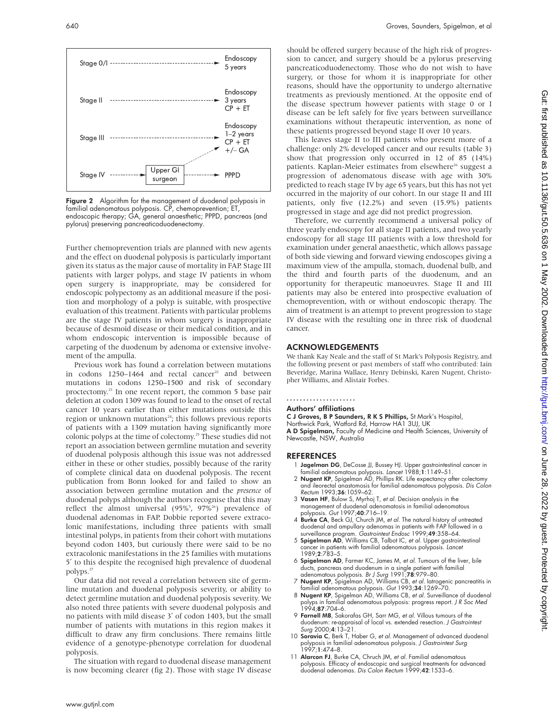

Stage 0/I Endoscopy

5 years

Endoscopy 3 years  $CP + ET$ 

Endoscopy  $1-2$  years  $CP + ET$  $+/-$  GA

Further chemoprevention trials are planned with new agents and the effect on duodenal polyposis is particularly important given its status as the major cause of mortality in FAP. Stage III patients with larger polyps, and stage IV patients in whom open surgery is inappropriate, may be considered for endoscopic polypectomy as an additional measure if the position and morphology of a polyp is suitable, with prospective evaluation of this treatment. Patients with particular problems are the stage IV patients in whom surgery is inappropriate because of desmoid disease or their medical condition, and in whom endoscopic intervention is impossible because of carpeting of the duodenum by adenoma or extensive involvement of the ampulla.

Previous work has found a correlation between mutations in codons  $1250-1464$  and rectal cancer<sup>22</sup> and between mutations in codons 1250–1500 and risk of secondary proctectomy.<sup>23</sup> In one recent report, the common 5 base pair deletion at codon 1309 was found to lead to the onset of rectal cancer 10 years earlier than either mutations outside this region or unknown mutations $24$ ; this follows previous reports of patients with a 1309 mutation having significantly more colonic polyps at the time of colectomy.25 These studies did not report an association between germline mutation and severity of duodenal polyposis although this issue was not addressed either in these or other studies, possibly because of the rarity of complete clinical data on duodenal polyposis. The recent publication from Bonn looked for and failed to show an association between germline mutation and the *presence* of duodenal polyps although the authors recognise that this may reflect the almost universal (95%<sup>5</sup>, 97%<sup>26</sup>) prevalence of duodenal adenomas in FAP. Dobbie reported severe extracolonic manifestations, including three patients with small intestinal polyps, in patients from their cohort with mutations beyond codon 1403, but curiously there were said to be no extracolonic manifestations in the 25 families with mutations 5′ to this despite the recognised high prevalence of duodenal polyps.<sup>27</sup>

Our data did not reveal a correlation between site of germline mutation and duodenal polyposis severity, or ability to detect germline mutation and duodenal polyposis severity. We also noted three patients with severe duodenal polyposis and no patients with mild disease 3′ of codon 1403, but the small number of patients with mutations in this region makes it difficult to draw any firm conclusions. There remains little evidence of a genotype-phenotype correlation for duodenal polyposis.

The situation with regard to duodenal disease management is now becoming clearer (fig 2). Those with stage IV disease

should be offered surgery because of the high risk of progression to cancer, and surgery should be a pylorus preserving pancreaticoduodenectomy. Those who do not wish to have surgery, or those for whom it is inappropriate for other reasons, should have the opportunity to undergo alternative treatments as previously mentioned. At the opposite end of the disease spectrum however patients with stage 0 or I disease can be left safely for five years between surveillance examinations without therapeutic intervention, as none of these patients progressed beyond stage II over 10 years.

This leaves stage II to III patients who present more of a challenge: only 2% developed cancer and our results (table 3) show that progression only occurred in 12 of 85 (14%) patients. Kaplan-Meier estimates from elsewhere<sup>26</sup> suggest a progression of adenomatous disease with age with 30% predicted to reach stage IV by age 65 years, but this has not yet occurred in the majority of our cohort. In our stage II and III patients, only five (12.2%) and seven (15.9%) patients progressed in stage and age did not predict progression.

Therefore, we currently recommend a universal policy of three yearly endoscopy for all stage II patients, and two yearly endoscopy for all stage III patients with a low threshold for examination under general anaesthetic, which allows passage of both side viewing and forward viewing endoscopes giving a maximum view of the ampulla, stomach, duodenal bulb, and the third and fourth parts of the duodenum, and an opportunity for therapeutic manoeuvres. Stage II and III patients may also be entered into prospective evaluation of chemoprevention, with or without endoscopic therapy. The aim of treatment is an attempt to prevent progression to stage IV disease with the resulting one in three risk of duodenal cancer.

#### ACKNOWLEDGEMENTS

We thank Kay Neale and the staff of St Mark's Polyposis Registry, and the following present or past members of staff who contributed: Iain Beveridge, Marina Wallace, Henry Debinski, Karen Nugent, Christopher Williams, and Alistair Forbes.

#### .....................

Authors' affiliations

**C J Groves, B P Saunders, R K S Phillips,** St Mark's Hospital,<br>Northwick Park, Watford Rd, Harrow HA1 3UJ, UK

A D Spigelman, Faculty of Medicine and Health Sciences, University of Newcastle, NSW, Australia

#### REFERENCES

- 1 Jagelman DG, DeCosse JJ, Bussey HJ. Upper gastrointestinal cancer in
- familial adenomatous polyposis. Lancet 1988;1:1149–51. 2 Nugent KP, Spigelman AD, Phillips RK. Life expectancy after colectomy and ileorectal anastomosis for familial adenomatous polyposis. Dis Colon Rectum 1993;36:1059–62.
- 3 Vasen HF, Bulow S, Myrhoj T, et al. Decision analysis in the management of duodenal adenomatosis in familial adenomatous polyposis. Gut 1997;40:716–19.
- 4 Burke CA, Beck GJ, Church JM, et al. The natural history of untreated duodenal and ampullary adenomas in patients with FAP followed in a surveillance program. Gastrointest Endosc 1999;49:358–64.
- 5 Spigelman AD, Williams CB, Talbot IC, et al. Upper gastrointestinal cancer in patients with familial adenomatous polyposis. Lancet 1989;2:783–5.
- 6 Spigelman AD, Farmer KC, James M, et al. Tumours of the liver, bile ducts, pancreas and duodenum in a single patient with familial adenomatous polyposis. Br J Surg 1991;78:979–80.
- 7 Nugent KP, Spigelman AD, Williams CB, et al. Iatrogenic pancreatitis in familial adenomatous polyposis. Gut 1993;34:1269–70. 8 Nugent KP, Spigelman AD, Williams CB, et al. Surveillance of duodenal
- polyps in familial adenomatous polyposis: progress report. *J R Soc Med*<br>1994;**87**:704–6.
- 9 Farnell MB, Sakorafas GH, Sarr MG, et al. Villous tumours of the duodenum: re-appraisal of local vs. extended resection. J Gastrointest Surg 2000;4:13–21.
- 10 Soravia C, Berk T, Haber G, et al. Management of advanced duodenal polyposis in familial adenomatous polyposis. J Gastrointest Surg 1997;1:474–8.
- 11 Alarcon FJ, Burke CA, Chruch JM, et al. Familial adenomatous polyposis. Efficacy of endoscopic and surgical treatments for advanced duodenal adenomas. Dis Colon Rectum 1999;42:1533–6.



Stage II